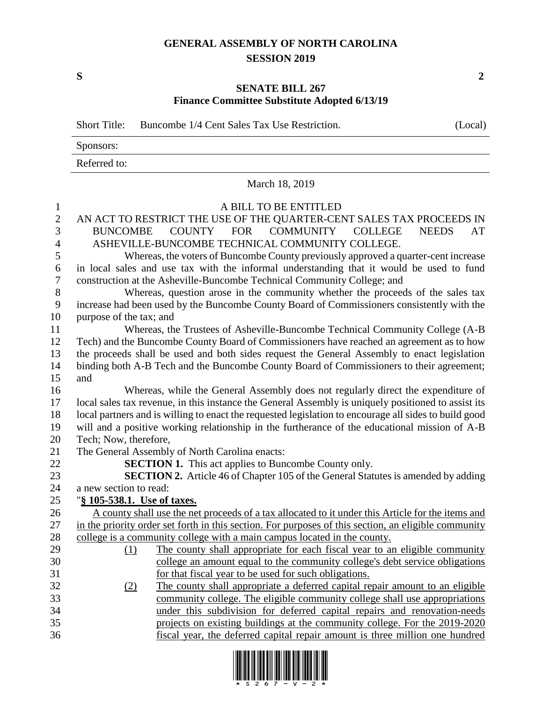## **GENERAL ASSEMBLY OF NORTH CAROLINA SESSION 2019**

## **SENATE BILL 267 Finance Committee Substitute Adopted 6/13/19**

Short Title: Buncombe  $1/4$  Cent Sales Tax Use Restriction. (Local) Sponsors: Referred to: March 18, 2019 A BILL TO BE ENTITLED AN ACT TO RESTRICT THE USE OF THE QUARTER-CENT SALES TAX PROCEEDS IN BUNCOMBE COUNTY FOR COMMUNITY COLLEGE NEEDS AT ASHEVILLE-BUNCOMBE TECHNICAL COMMUNITY COLLEGE. Whereas, the voters of Buncombe County previously approved a quarter-cent increase in local sales and use tax with the informal understanding that it would be used to fund construction at the Asheville-Buncombe Technical Community College; and Whereas, question arose in the community whether the proceeds of the sales tax increase had been used by the Buncombe County Board of Commissioners consistently with the purpose of the tax; and Whereas, the Trustees of Asheville-Buncombe Technical Community College (A-B Tech) and the Buncombe County Board of Commissioners have reached an agreement as to how the proceeds shall be used and both sides request the General Assembly to enact legislation binding both A-B Tech and the Buncombe County Board of Commissioners to their agreement; and Whereas, while the General Assembly does not regularly direct the expenditure of local sales tax revenue, in this instance the General Assembly is uniquely positioned to assist its local partners and is willing to enact the requested legislation to encourage all sides to build good will and a positive working relationship in the furtherance of the educational mission of A-B Tech; Now, therefore, The General Assembly of North Carolina enacts: **SECTION 1.** This act applies to Buncombe County only. **SECTION 2.** Article 46 of Chapter 105 of the General Statutes is amended by adding a new section to read: "**§ 105-538.1. Use of taxes.** A county shall use the net proceeds of a tax allocated to it under this Article for the items and in the priority order set forth in this section. For purposes of this section, an eligible community college is a community college with a main campus located in the county. (1) The county shall appropriate for each fiscal year to an eligible community college an amount equal to the community college's debt service obligations for that fiscal year to be used for such obligations. (2) The county shall appropriate a deferred capital repair amount to an eligible community college. The eligible community college shall use appropriations under this subdivision for deferred capital repairs and renovation-needs projects on existing buildings at the community college. For the 2019-2020



fiscal year, the deferred capital repair amount is three million one hundred

**S 2**